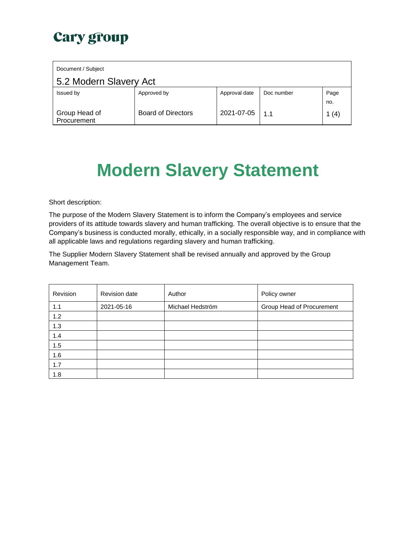|                        | Document / Subject           |                           |               |            |             |  |  |
|------------------------|------------------------------|---------------------------|---------------|------------|-------------|--|--|
| 5.2 Modern Slavery Act |                              |                           |               |            |             |  |  |
|                        | Issued by                    | Approved by               | Approval date | Doc number | Page<br>no. |  |  |
|                        | Group Head of<br>Procurement | <b>Board of Directors</b> | 2021-07-05    | 1.1        | 1 $(4)$     |  |  |

# **Modern Slavery Statement**

Short description:

The purpose of the Modern Slavery Statement is to inform the Company's employees and service providers of its attitude towards slavery and human trafficking. The overall objective is to ensure that the Company's business is conducted morally, ethically, in a socially responsible way, and in compliance with all applicable laws and regulations regarding slavery and human trafficking.

The Supplier Modern Slavery Statement shall be revised annually and approved by the Group Management Team.

| Revision | Revision date | Author           | Policy owner              |
|----------|---------------|------------------|---------------------------|
| 1.1      | 2021-05-16    | Michael Hedström | Group Head of Procurement |
| 1.2      |               |                  |                           |
| 1.3      |               |                  |                           |
| 1.4      |               |                  |                           |
| 1.5      |               |                  |                           |
| 1.6      |               |                  |                           |
| 1.7      |               |                  |                           |
| 1.8      |               |                  |                           |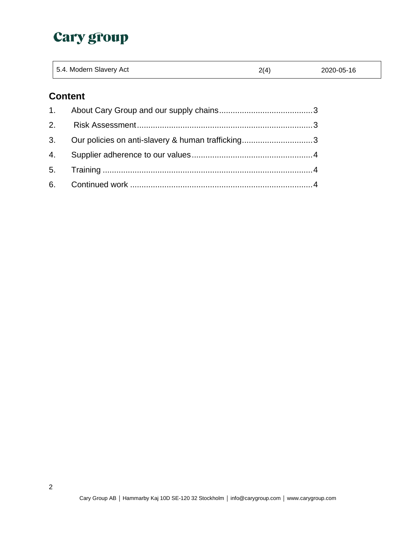|    | 5.4. Modern Slavery Act                           | 2(4) | 2020-05-16 |
|----|---------------------------------------------------|------|------------|
|    | <b>Content</b>                                    |      |            |
| 1. |                                                   |      |            |
| 2. |                                                   |      |            |
| 3. | Our policies on anti-slavery & human trafficking3 |      |            |
| 4. |                                                   |      |            |
| 5. |                                                   |      |            |
| 6. |                                                   |      |            |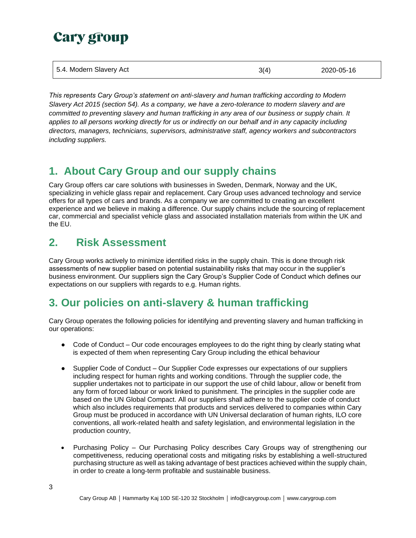| 5.4. Modern Slavery Act | 3(4) | 2020-05-16 |
|-------------------------|------|------------|
|-------------------------|------|------------|

*This represents Cary Group's statement on anti-slavery and human trafficking according to Modern Slavery Act 2015 (section 54). As a company, we have a zero-tolerance to modern slavery and are committed to preventing slavery and human trafficking in any area of our business or supply chain. It applies to all persons working directly for us or indirectly on our behalf and in any capacity including directors, managers, technicians, supervisors, administrative staff, agency workers and subcontractors including suppliers.* 

#### <span id="page-2-0"></span>**1. About Cary Group and our supply chains**

Cary Group offers car care solutions with businesses in Sweden, Denmark, Norway and the UK, specializing in vehicle glass repair and replacement. Cary Group uses advanced technology and service offers for all types of cars and brands. As a company we are committed to creating an excellent experience and we believe in making a difference. Our supply chains include the sourcing of replacement car, commercial and specialist vehicle glass and associated installation materials from within the UK and the EU.

#### <span id="page-2-1"></span>**2. Risk Assessment**

Cary Group works actively to minimize identified risks in the supply chain. This is done through risk assessments of new supplier based on potential sustainability risks that may occur in the supplier's business environment. Our suppliers sign the Cary Group's Supplier Code of Conduct which defines our expectations on our suppliers with regards to e.g. Human rights.

## <span id="page-2-2"></span>**3. Our policies on anti-slavery & human trafficking**

Cary Group operates the following policies for identifying and preventing slavery and human trafficking in our operations:

- Code of Conduct Our code encourages employees to do the right thing by clearly stating what is expected of them when representing Cary Group including the ethical behaviour
- Supplier Code of Conduct Our Supplier Code expresses our expectations of our suppliers including respect for human rights and working conditions. Through the supplier code, the supplier undertakes not to participate in our support the use of child labour, allow or benefit from any form of forced labour or work linked to punishment. The principles in the supplier code are based on the UN Global Compact. All our suppliers shall adhere to the supplier code of conduct which also includes requirements that products and services delivered to companies within Cary Group must be produced in accordance with UN Universal declaration of human rights, ILO core conventions, all work-related health and safety legislation, and environmental legislation in the production country,
- Purchasing Policy Our Purchasing Policy describes Cary Groups way of strengthening our competitiveness, reducing operational costs and mitigating risks by establishing a well-structured purchasing structure as well as taking advantage of best practices achieved within the supply chain, in order to create a long-term profitable and sustainable business.